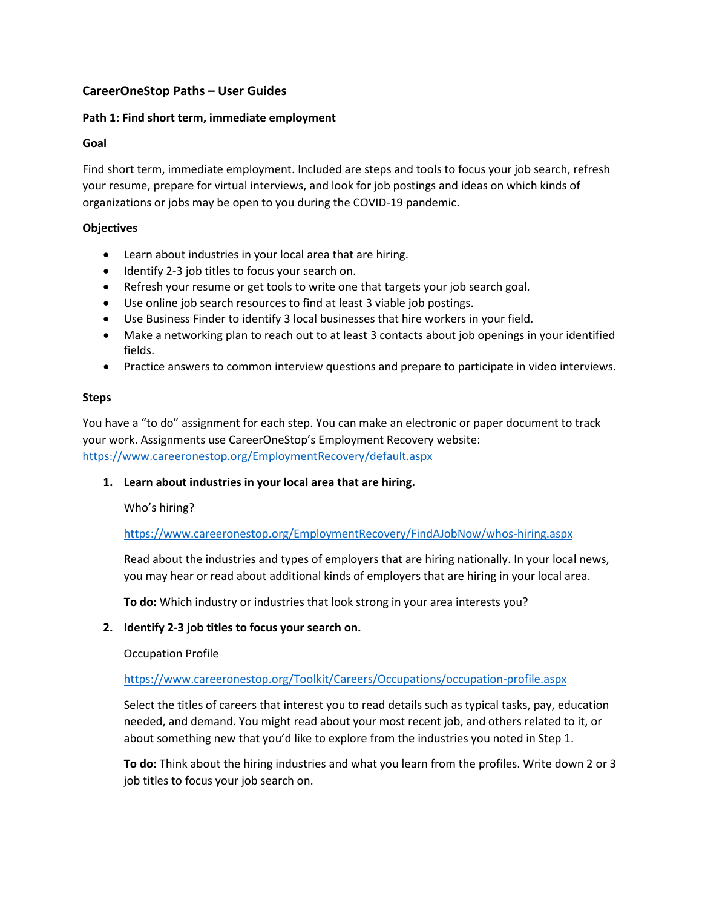# **CareerOneStop Paths – User Guides**

## **Path 1: Find short term, immediate employment**

## **Goal**

Find short term, immediate employment. Included are steps and tools to focus your job search, refresh your resume, prepare for virtual interviews, and look for job postings and ideas on which kinds of organizations or jobs may be open to you during the COVID-19 pandemic.

## **Objectives**

- Learn about industries in your local area that are hiring.
- Identify 2-3 job titles to focus your search on.
- Refresh your resume or get tools to write one that targets your job search goal.
- Use online job search resources to find at least 3 viable job postings.
- Use Business Finder to identify 3 local businesses that hire workers in your field.
- Make a networking plan to reach out to at least 3 contacts about job openings in your identified fields.
- Practice answers to common interview questions and prepare to participate in video interviews.

### **Steps**

You have a "to do" assignment for each step. You can make an electronic or paper document to track your work. Assignments use CareerOneStop's Employment Recovery website: <https://www.careeronestop.org/EmploymentRecovery/default.aspx>

### **1. Learn about industries in your local area that are hiring.**

Who's hiring[?](https://stage.careeronestop.org/EmploymentRecovery/FindAJobNow/whos-hiring.aspx)

<https://www.careeronestop.org/EmploymentRecovery/FindAJobNow/whos-hiring.aspx>

Read about the industries and types of employers that are hiring nationally. In your local news, you may hear or read about additional kinds of employers that are hiring in your local area.

**To do:** Which industry or industries that look strong in your area interests you?

### **2. Identify 2-3 job titles to focus your search on.**

Occupation Profile

<https://www.careeronestop.org/Toolkit/Careers/Occupations/occupation-profile.aspx>

Select the titles of careers that interest you to read details such as typical tasks, pay, education needed, and demand. You might read about your most recent job, and others related to it, or about something new that you'd like to explore from the industries you noted in Step 1.

**To do:** Think about the hiring industries and what you learn from the profiles. Write down 2 or 3 job titles to focus your job search on.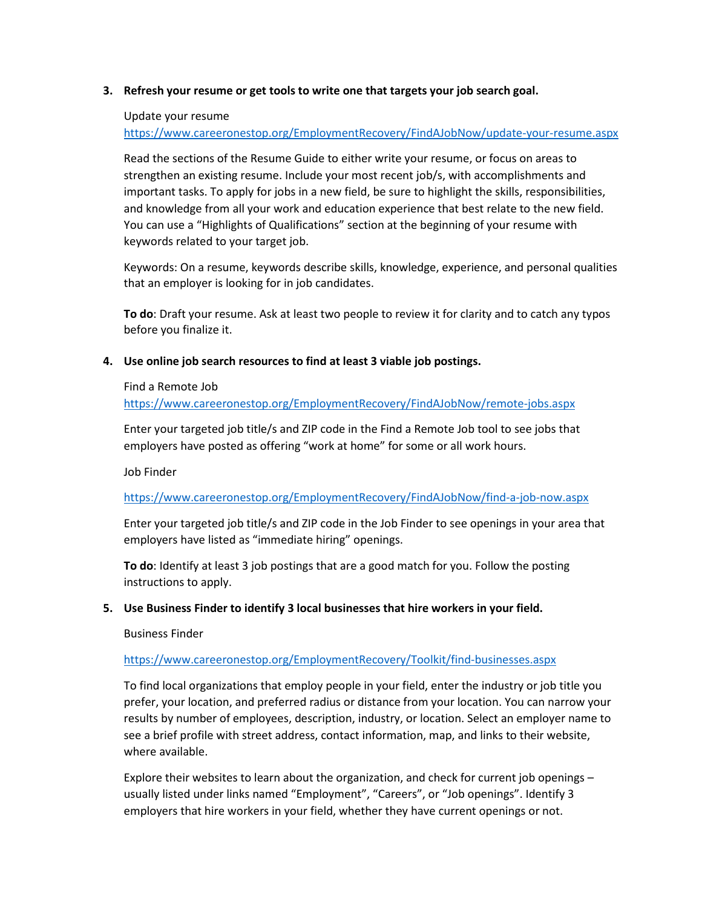### **3. Refresh your resume or get tools to write one that targets your job search goal.**

#### Update your resume

<https://www.careeronestop.org/EmploymentRecovery/FindAJobNow/update-your-resume.aspx>

Read the sections of the Resume Guide to either write your resume, or focus on areas to strengthen an existing resume. Include your most recent job/s, with accomplishments and important tasks. To apply for jobs in a new field, be sure to highlight the skills, responsibilities, and knowledge from all your work and education experience that best relate to the new field. You can use a "Highlights of Qualifications" section at the beginning of your resume with keywords related to your target job.

Keywords: On a resume, keywords describe skills, knowledge, experience, and personal qualities that an employer is looking for in job candidates.

**To do**: Draft your resume. Ask at least two people to review it for clarity and to catch any typos before you finalize it.

#### **4. Use online job search resources to find at least 3 viable job postings.**

#### Find a Remote Job

<https://www.careeronestop.org/EmploymentRecovery/FindAJobNow/remote-jobs.aspx>

Enter your targeted job title/s and ZIP code in the Find a Remote Job tool to see jobs that employers have posted as offering "work at home" for some or all work hours.

Job Finder

<https://www.careeronestop.org/EmploymentRecovery/FindAJobNow/find-a-job-now.aspx>

Enter your targeted job title/s and ZIP code in the Job Finder to see openings in your area that employers have listed as "immediate hiring" openings.

**To do**: Identify at least 3 job postings that are a good match for you. Follow the posting instructions to apply.

### **5. Use Business Finder to identify 3 local businesses that hire workers in your field.**

Business Finder

### <https://www.careeronestop.org/EmploymentRecovery/Toolkit/find-businesses.aspx>

To find local organizations that employ people in your field, enter the industry or job title you prefer, your location, and preferred radius or distance from your location. You can narrow your results by number of employees, description, industry, or location. Select an employer name to see a brief profile with street address, contact information, map, and links to their website, where available.

Explore their websites to learn about the organization, and check for current job openings – usually listed under links named "Employment", "Careers", or "Job openings". Identify 3 employers that hire workers in your field, whether they have current openings or not.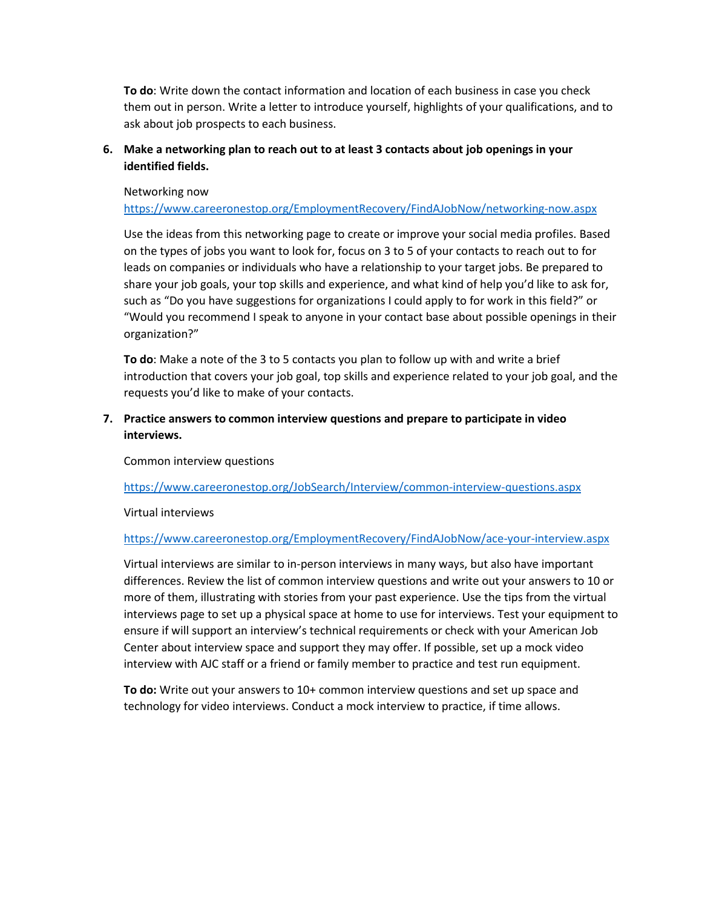**To do**: Write down the contact information and location of each business in case you check them out in person. Write a letter to introduce yourself, highlights of your qualifications, and to ask about job prospects to each business.

# **6. Make a networking plan to reach out to at least 3 contacts about job openings in your identified fields.**

#### Networking now

<https://www.careeronestop.org/EmploymentRecovery/FindAJobNow/networking-now.aspx>

Use the ideas from this networking page to create or improve your social media profiles. Based on the types of jobs you want to look for, focus on 3 to 5 of your contacts to reach out to for leads on companies or individuals who have a relationship to your target jobs. Be prepared to share your job goals, your top skills and experience, and what kind of help you'd like to ask for, such as "Do you have suggestions for organizations I could apply to for work in this field?" or "Would you recommend I speak to anyone in your contact base about possible openings in their organization?"

**To do**: Make a note of the 3 to 5 contacts you plan to follow up with and write a brief introduction that covers your job goal, top skills and experience related to your job goal, and the requests you'd like to make of your contacts.

# **7. Practice answers to common interview questions and prepare to participate in video interviews.**

Common interview questions

<https://www.careeronestop.org/JobSearch/Interview/common-interview-questions.aspx>

### Virtual interviews

<https://www.careeronestop.org/EmploymentRecovery/FindAJobNow/ace-your-interview.aspx>

Virtual interviews are similar to in-person interviews in many ways, but also have important differences. Review the list of common interview questions and write out your answers to 10 or more of them, illustrating with stories from your past experience. Use the tips from the virtual interviews page to set up a physical space at home to use for interviews. Test your equipment to ensure if will support an interview's technical requirements or check with your American Job Center about interview space and support they may offer. If possible, set up a mock video interview with AJC staff or a friend or family member to practice and test run equipment.

**To do:** Write out your answers to 10+ common interview questions and set up space and technology for video interviews. Conduct a mock interview to practice, if time allows.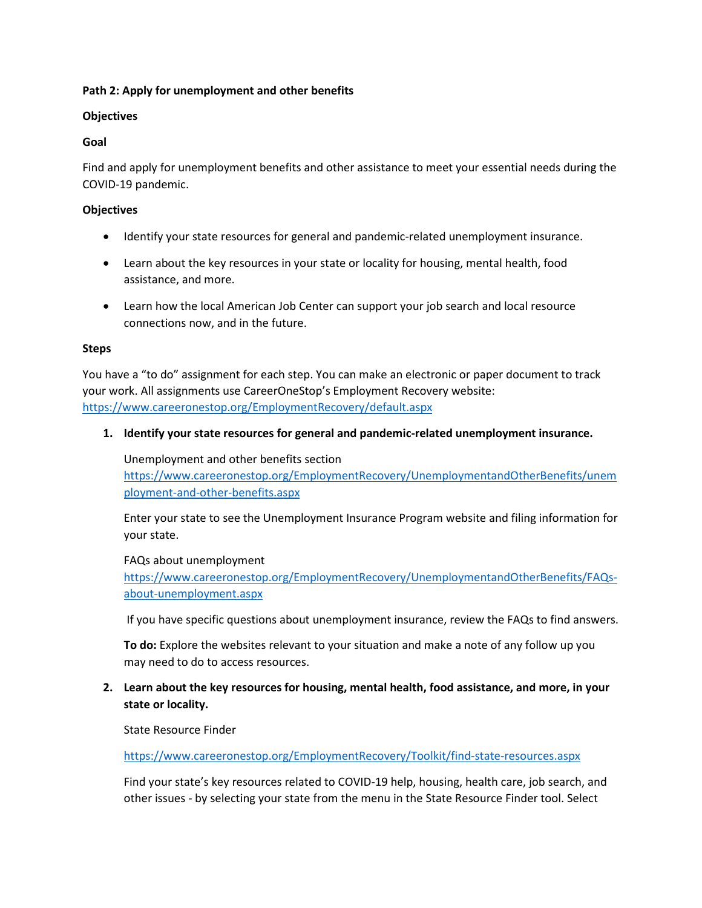## **Path 2: Apply for unemployment and other benefits**

## **Objectives**

## **Goal**

Find and apply for unemployment benefits and other assistance to meet your essential needs during the COVID-19 pandemic.

## **Objectives**

- Identify your state resources for general and pandemic-related unemployment insurance.
- Learn about the key resources in your state or locality for housing, mental health, food assistance, and more.
- Learn how the local American Job Center can support your job search and local resource connections now, and in the future.

## **Steps**

You have a "to do" assignment for each step. You can make an electronic or paper document to track your work. All assignments use CareerOneStop's Employment Recovery website: <https://www.careeronestop.org/EmploymentRecovery/default.aspx>

**1. Identify your state resources for general and pandemic-related unemployment insurance.**

## Unemployment and other benefits section

[https://www.careeronestop.org/EmploymentRecovery/UnemploymentandOtherBenefits/unem](https://www.careeronestop.org/EmploymentRecovery/UnemploymentandOtherBenefits/unemployment-and-other-benefits.aspx) [ployment-and-other-benefits.aspx](https://www.careeronestop.org/EmploymentRecovery/UnemploymentandOtherBenefits/unemployment-and-other-benefits.aspx)

Enter your state to see the Unemployment Insurance Program website and filing information for your state.

### FAQs about unemployment

[https://www.careeronestop.org/EmploymentRecovery/UnemploymentandOtherBenefits/FAQs](https://www.careeronestop.org/EmploymentRecovery/UnemploymentandOtherBenefits/FAQs-about-unemployment.aspx)[about-unemployment.aspx](https://www.careeronestop.org/EmploymentRecovery/UnemploymentandOtherBenefits/FAQs-about-unemployment.aspx)

If you have specific questions about unemployment insurance, review the FAQs to find answers.

**To do:** Explore the websites relevant to your situation and make a note of any follow up you may need to do to access resources.

# **2. Learn about the key resources for housing, mental health, food assistance, and more, in your state or locality.**

State Resource Finder

<https://www.careeronestop.org/EmploymentRecovery/Toolkit/find-state-resources.aspx>

Find your state's key resources related to COVID-19 help, housing, health care, job search, and other issues - by selecting your state from the menu in the State Resource Finder tool. Select